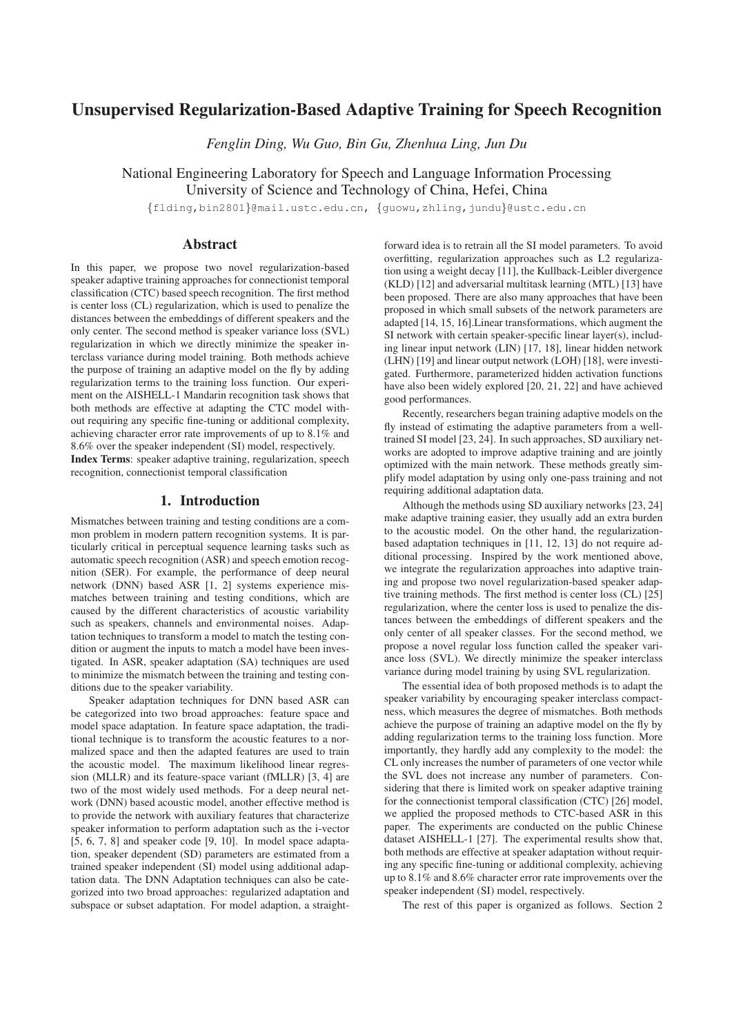# Unsupervised Regularization-Based Adaptive Training for Speech Recognition

*Fenglin Ding, Wu Guo, Bin Gu, Zhenhua Ling, Jun Du*

National Engineering Laboratory for Speech and Language Information Processing University of Science and Technology of China, Hefei, China

{flding,bin2801}@mail.ustc.edu.cn, {guowu,zhling,jundu}@ustc.edu.cn

# Abstract

In this paper, we propose two novel regularization-based speaker adaptive training approaches for connectionist temporal classification (CTC) based speech recognition. The first method is center loss (CL) regularization, which is used to penalize the distances between the embeddings of different speakers and the only center. The second method is speaker variance loss (SVL) regularization in which we directly minimize the speaker interclass variance during model training. Both methods achieve the purpose of training an adaptive model on the fly by adding regularization terms to the training loss function. Our experiment on the AISHELL-1 Mandarin recognition task shows that both methods are effective at adapting the CTC model without requiring any specific fine-tuning or additional complexity, achieving character error rate improvements of up to 8.1% and 8.6% over the speaker independent (SI) model, respectively.

Index Terms: speaker adaptive training, regularization, speech recognition, connectionist temporal classification

## 1. Introduction

Mismatches between training and testing conditions are a common problem in modern pattern recognition systems. It is particularly critical in perceptual sequence learning tasks such as automatic speech recognition (ASR) and speech emotion recognition (SER). For example, the performance of deep neural network (DNN) based ASR [1, 2] systems experience mismatches between training and testing conditions, which are caused by the different characteristics of acoustic variability such as speakers, channels and environmental noises. Adaptation techniques to transform a model to match the testing condition or augment the inputs to match a model have been investigated. In ASR, speaker adaptation (SA) techniques are used to minimize the mismatch between the training and testing conditions due to the speaker variability.

Speaker adaptation techniques for DNN based ASR can be categorized into two broad approaches: feature space and model space adaptation. In feature space adaptation, the traditional technique is to transform the acoustic features to a normalized space and then the adapted features are used to train the acoustic model. The maximum likelihood linear regression (MLLR) and its feature-space variant (fMLLR) [3, 4] are two of the most widely used methods. For a deep neural network (DNN) based acoustic model, another effective method is to provide the network with auxiliary features that characterize speaker information to perform adaptation such as the i-vector [5, 6, 7, 8] and speaker code [9, 10]. In model space adaptation, speaker dependent (SD) parameters are estimated from a trained speaker independent (SI) model using additional adaptation data. The DNN Adaptation techniques can also be categorized into two broad approaches: regularized adaptation and subspace or subset adaptation. For model adaption, a straightforward idea is to retrain all the SI model parameters. To avoid overfitting, regularization approaches such as L2 regularization using a weight decay [11], the Kullback-Leibler divergence (KLD) [12] and adversarial multitask learning (MTL) [13] have been proposed. There are also many approaches that have been proposed in which small subsets of the network parameters are adapted [14, 15, 16].Linear transformations, which augment the SI network with certain speaker-specific linear layer(s), including linear input network (LIN) [17, 18], linear hidden network (LHN) [19] and linear output network (LOH) [18], were investigated. Furthermore, parameterized hidden activation functions have also been widely explored [20, 21, 22] and have achieved good performances.

Recently, researchers began training adaptive models on the fly instead of estimating the adaptive parameters from a welltrained SI model [23, 24]. In such approaches, SD auxiliary networks are adopted to improve adaptive training and are jointly optimized with the main network. These methods greatly simplify model adaptation by using only one-pass training and not requiring additional adaptation data.

Although the methods using SD auxiliary networks [23, 24] make adaptive training easier, they usually add an extra burden to the acoustic model. On the other hand, the regularizationbased adaptation techniques in [11, 12, 13] do not require additional processing. Inspired by the work mentioned above, we integrate the regularization approaches into adaptive training and propose two novel regularization-based speaker adaptive training methods. The first method is center loss (CL) [25] regularization, where the center loss is used to penalize the distances between the embeddings of different speakers and the only center of all speaker classes. For the second method, we propose a novel regular loss function called the speaker variance loss (SVL). We directly minimize the speaker interclass variance during model training by using SVL regularization.

The essential idea of both proposed methods is to adapt the speaker variability by encouraging speaker interclass compactness, which measures the degree of mismatches. Both methods achieve the purpose of training an adaptive model on the fly by adding regularization terms to the training loss function. More importantly, they hardly add any complexity to the model: the CL only increases the number of parameters of one vector while the SVL does not increase any number of parameters. Considering that there is limited work on speaker adaptive training for the connectionist temporal classification (CTC) [26] model, we applied the proposed methods to CTC-based ASR in this paper. The experiments are conducted on the public Chinese dataset AISHELL-1 [27]. The experimental results show that, both methods are effective at speaker adaptation without requiring any specific fine-tuning or additional complexity, achieving up to 8.1% and 8.6% character error rate improvements over the speaker independent (SI) model, respectively.

The rest of this paper is organized as follows. Section 2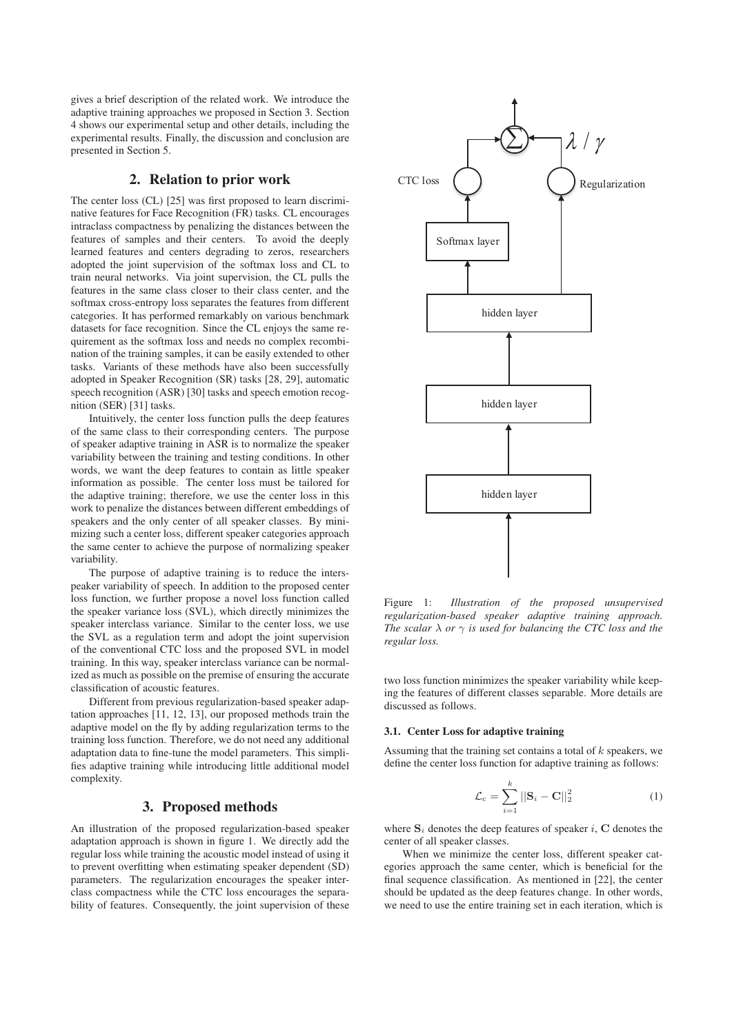gives a brief description of the related work. We introduce the adaptive training approaches we proposed in Section 3. Section 4 shows our experimental setup and other details, including the experimental results. Finally, the discussion and conclusion are presented in Section 5.

## 2. Relation to prior work

The center loss (CL) [25] was first proposed to learn discriminative features for Face Recognition (FR) tasks. CL encourages intraclass compactness by penalizing the distances between the features of samples and their centers. To avoid the deeply learned features and centers degrading to zeros, researchers adopted the joint supervision of the softmax loss and CL to train neural networks. Via joint supervision, the CL pulls the features in the same class closer to their class center, and the softmax cross-entropy loss separates the features from different categories. It has performed remarkably on various benchmark datasets for face recognition. Since the CL enjoys the same requirement as the softmax loss and needs no complex recombination of the training samples, it can be easily extended to other tasks. Variants of these methods have also been successfully adopted in Speaker Recognition (SR) tasks [28, 29], automatic speech recognition (ASR) [30] tasks and speech emotion recognition (SER) [31] tasks.

Intuitively, the center loss function pulls the deep features of the same class to their corresponding centers. The purpose of speaker adaptive training in ASR is to normalize the speaker variability between the training and testing conditions. In other words, we want the deep features to contain as little speaker information as possible. The center loss must be tailored for the adaptive training; therefore, we use the center loss in this work to penalize the distances between different embeddings of speakers and the only center of all speaker classes. By minimizing such a center loss, different speaker categories approach the same center to achieve the purpose of normalizing speaker variability.

The purpose of adaptive training is to reduce the interspeaker variability of speech. In addition to the proposed center loss function, we further propose a novel loss function called the speaker variance loss (SVL), which directly minimizes the speaker interclass variance. Similar to the center loss, we use the SVL as a regulation term and adopt the joint supervision of the conventional CTC loss and the proposed SVL in model training. In this way, speaker interclass variance can be normalized as much as possible on the premise of ensuring the accurate classification of acoustic features.

Different from previous regularization-based speaker adaptation approaches [11, 12, 13], our proposed methods train the adaptive model on the fly by adding regularization terms to the training loss function. Therefore, we do not need any additional adaptation data to fine-tune the model parameters. This simplifies adaptive training while introducing little additional model complexity.

# 3. Proposed methods

An illustration of the proposed regularization-based speaker adaptation approach is shown in figure 1. We directly add the regular loss while training the acoustic model instead of using it to prevent overfitting when estimating speaker dependent (SD) parameters. The regularization encourages the speaker interclass compactness while the CTC loss encourages the separability of features. Consequently, the joint supervision of these



Figure 1: *Illustration of the proposed unsupervised regularization-based speaker adaptive training approach. The scalar*  $\lambda$  *or*  $\gamma$  *is used for balancing the CTC loss and the regular loss.*

two loss function minimizes the speaker variability while keeping the features of different classes separable. More details are discussed as follows.

#### 3.1. Center Loss for adaptive training

Assuming that the training set contains a total of  $k$  speakers, we define the center loss function for adaptive training as follows:

$$
\mathcal{L}_{\rm c} = \sum_{i=1}^{k} ||\mathbf{S}_i - \mathbf{C}||_2^2 \tag{1}
$$

where  $S_i$  denotes the deep features of speaker i,  $C$  denotes the center of all speaker classes.

When we minimize the center loss, different speaker categories approach the same center, which is beneficial for the final sequence classification. As mentioned in [22], the center should be updated as the deep features change. In other words, we need to use the entire training set in each iteration, which is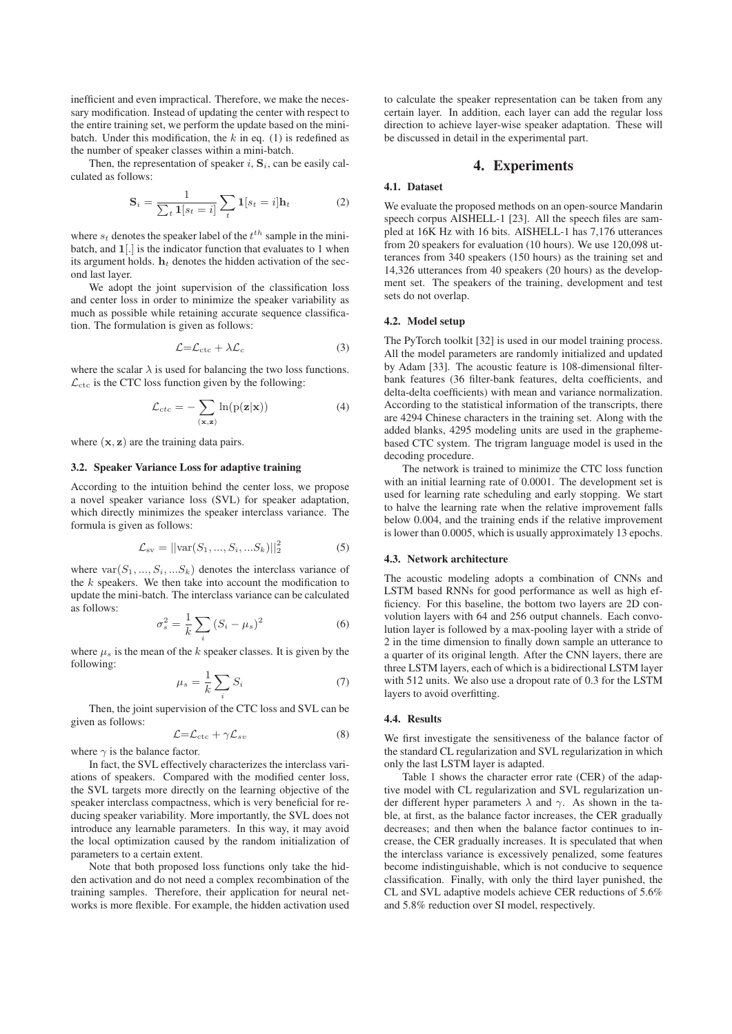inefficient and even impractical. Therefore, we make the necessary modification. Instead of updating the center with respect to the entire training set, we perform the update based on the minibatch. Under this modification, the  $k$  in eq. (1) is redefined as the number of speaker classes within a mini-batch.

Then, the representation of speaker  $i$ ,  $\mathbf{S}_i$ , can be easily calculated as follows:

$$
\mathbf{S}_{i} = \frac{1}{\sum_{t} \mathbf{1}[s_{t} = i]} \sum_{t} \mathbf{1}[s_{t} = i] \mathbf{h}_{t} \tag{2}
$$

where  $s_t$  denotes the speaker label of the  $t^{th}$  sample in the minibatch, and **1**[.] is the indicator function that evaluates to 1 when its argument holds.  $h_t$  denotes the hidden activation of the second last layer.

We adopt the joint supervision of the classification loss and center loss in order to minimize the speaker variability as much as possible while retaining accurate sequence classification. The formulation is given as follows:

$$
\mathcal{L} = \mathcal{L}_{\text{ctc}} + \lambda \mathcal{L}_c \tag{3}
$$

where the scalar  $\lambda$  is used for balancing the two loss functions.  $\mathcal{L}_{\text{ctc}}$  is the CTC loss function given by the following:

$$
\mathcal{L}_{ctc} = -\sum_{(\mathbf{x}, \mathbf{z})} \ln(p(\mathbf{z}|\mathbf{x})) \tag{4}
$$

where (**x**, **z**) are the training data pairs.

#### 3.2. Speaker Variance Loss for adaptive training

According to the intuition behind the center loss, we propose a novel speaker variance loss (SVL) for speaker adaptation, which directly minimizes the speaker interclass variance. The formula is given as follows:

$$
\mathcal{L}_{\text{sv}} = ||\text{var}(S_1, ..., S_i, ...S_k)||_2^2 \tag{5}
$$

where  $var(S_1, ..., S_i, ...S_k)$  denotes the interclass variance of the  $k$  speakers. We then take into account the modification to update the mini-batch. The interclass variance can be calculated as follows:

$$
\sigma_s^2 = \frac{1}{k} \sum_i \left( S_i - \mu_s \right)^2 \tag{6}
$$

where  $\mu_s$  is the mean of the k speaker classes. It is given by the following:

$$
\mu_s = \frac{1}{k} \sum_i S_i \tag{7}
$$

Then, the joint supervision of the CTC loss and SVL can be given as follows:

$$
\mathcal{L} = \mathcal{L}_{\text{ctc}} + \gamma \mathcal{L}_{sv} \tag{8}
$$

where  $\gamma$  is the balance factor.

In fact, the SVL effectively characterizes the interclass variations of speakers. Compared with the modified center loss, the SVL targets more directly on the learning objective of the speaker interclass compactness, which is very beneficial for reducing speaker variability. More importantly, the SVL does not introduce any learnable parameters. In this way, it may avoid the local optimization caused by the random initialization of parameters to a certain extent.

Note that both proposed loss functions only take the hidden activation and do not need a complex recombination of the training samples. Therefore, their application for neural networks is more flexible. For example, the hidden activation used

to calculate the speaker representation can be taken from any certain layer. In addition, each layer can add the regular loss direction to achieve layer-wise speaker adaptation. These will be discussed in detail in the experimental part.

#### 4. Experiments

### 4.1. Dataset

We evaluate the proposed methods on an open-source Mandarin speech corpus AISHELL-1 [23]. All the speech files are sampled at 16K Hz with 16 bits. AISHELL-1 has 7,176 utterances from 20 speakers for evaluation (10 hours). We use 120,098 utterances from 340 speakers (150 hours) as the training set and 14,326 utterances from 40 speakers (20 hours) as the development set. The speakers of the training, development and test sets do not overlap.

# 4.2. Model setup

The PyTorch toolkit [32] is used in our model training process. All the model parameters are randomly initialized and updated by Adam [33]. The acoustic feature is 108-dimensional filterbank features (36 filter-bank features, delta coefficients, and delta-delta coefficients) with mean and variance normalization. According to the statistical information of the transcripts, there are 4294 Chinese characters in the training set. Along with the added blanks, 4295 modeling units are used in the graphemebased CTC system. The trigram language model is used in the decoding procedure.

The network is trained to minimize the CTC loss function with an initial learning rate of 0.0001. The development set is used for learning rate scheduling and early stopping. We start to halve the learning rate when the relative improvement falls below 0.004, and the training ends if the relative improvement is lower than 0.0005, which is usually approximately 13 epochs.

#### 4.3. Network architecture

The acoustic modeling adopts a combination of CNNs and LSTM based RNNs for good performance as well as high efficiency. For this baseline, the bottom two layers are 2D convolution layers with 64 and 256 output channels. Each convolution layer is followed by a max-pooling layer with a stride of 2 in the time dimension to finally down sample an utterance to a quarter of its original length. After the CNN layers, there are three LSTM layers, each of which is a bidirectional LSTM layer with 512 units. We also use a dropout rate of 0.3 for the LSTM layers to avoid overfitting.

#### 4.4. Results

We first investigate the sensitiveness of the balance factor of the standard CL regularization and SVL regularization in which only the last LSTM layer is adapted.

Table 1 shows the character error rate (CER) of the adaptive model with CL regularization and SVL regularization under different hyper parameters  $\lambda$  and  $\gamma$ . As shown in the table, at first, as the balance factor increases, the CER gradually decreases; and then when the balance factor continues to increase, the CER gradually increases. It is speculated that when the interclass variance is excessively penalized, some features become indistinguishable, which is not conducive to sequence classification. Finally, with only the third layer punished, the CL and SVL adaptive models achieve CER reductions of 5.6% and 5.8% reduction over SI model, respectively.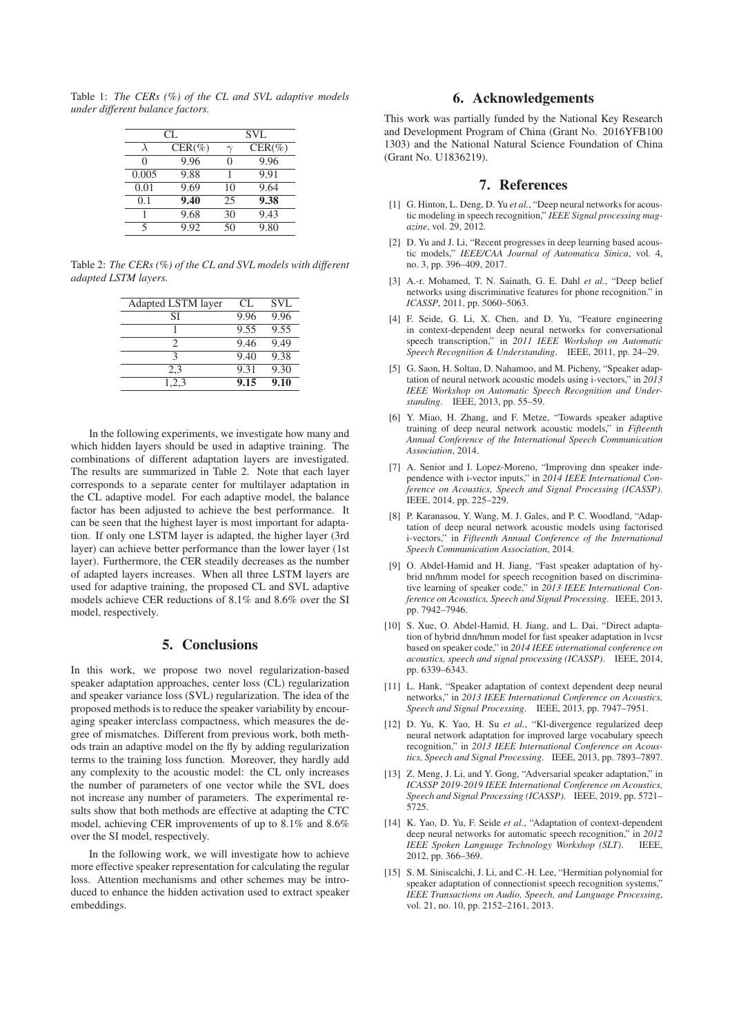Table 1: *The CERs (%) of the CL and SVL adaptive models under different balance factors.*

| CL.   |           | <b>SVL</b> |           |
|-------|-----------|------------|-----------|
|       | $CER(\%)$ | $\gamma$   | $CER(\%)$ |
| ∩     | 9.96      | 0          | 9.96      |
| 0.005 | 9.88      | 1          | 9.91      |
| 0.01  | 9.69      | 10         | 9.64      |
| 0.1   | 9.40      | 25         | 9.38      |
|       | 9.68      | 30         | 9.43      |
|       | 9.92      | 50         | 9.80      |

Table 2: *The CERs (%) of the CL and SVL models with different adapted LSTM layers.*

| Adapted LSTM layer | CL.  | <b>SVL</b> |
|--------------------|------|------------|
| SI                 | 9.96 | 9.96       |
|                    | 9.55 | 9.55       |
| 2                  | 9.46 | 9.49       |
| κ                  | 9.40 | 9.38       |
| 2.3                | 9.31 | 9.30       |
| 1,2,3              | 9.15 | 9.10       |
|                    |      |            |

In the following experiments, we investigate how many and which hidden layers should be used in adaptive training. The combinations of different adaptation layers are investigated. The results are summarized in Table 2. Note that each layer corresponds to a separate center for multilayer adaptation in the CL adaptive model. For each adaptive model, the balance factor has been adjusted to achieve the best performance. It can be seen that the highest layer is most important for adaptation. If only one LSTM layer is adapted, the higher layer (3rd layer) can achieve better performance than the lower layer (1st layer). Furthermore, the CER steadily decreases as the number of adapted layers increases. When all three LSTM layers are used for adaptive training, the proposed CL and SVL adaptive models achieve CER reductions of 8.1% and 8.6% over the SI model, respectively.

# 5. Conclusions

In this work, we propose two novel regularization-based speaker adaptation approaches, center loss (CL) regularization and speaker variance loss (SVL) regularization. The idea of the proposed methods is to reduce the speaker variability by encouraging speaker interclass compactness, which measures the degree of mismatches. Different from previous work, both methods train an adaptive model on the fly by adding regularization terms to the training loss function. Moreover, they hardly add any complexity to the acoustic model: the CL only increases the number of parameters of one vector while the SVL does not increase any number of parameters. The experimental results show that both methods are effective at adapting the CTC model, achieving CER improvements of up to 8.1% and 8.6% over the SI model, respectively.

In the following work, we will investigate how to achieve more effective speaker representation for calculating the regular loss. Attention mechanisms and other schemes may be introduced to enhance the hidden activation used to extract speaker embeddings.

# 6. Acknowledgements

This work was partially funded by the National Key Research and Development Program of China (Grant No. 2016YFB100 1303) and the National Natural Science Foundation of China (Grant No. U1836219).

### 7. References

- [1] G. Hinton, L. Deng, D. Yu *et al.*, "Deep neural networks for acoustic modeling in speech recognition," *IEEE Signal processing magazine*, vol. 29, 2012.
- [2] D. Yu and J. Li, "Recent progresses in deep learning based acoustic models," *IEEE/CAA Journal of Automatica Sinica*, vol. 4, no. 3, pp. 396–409, 2017.
- [3] A.-r. Mohamed, T. N. Sainath, G. E. Dahl *et al.*, "Deep belief networks using discriminative features for phone recognition." in *ICASSP*, 2011, pp. 5060–5063.
- [4] F. Seide, G. Li, X. Chen, and D. Yu, "Feature engineering in context-dependent deep neural networks for conversational speech transcription," in *2011 IEEE Workshop on Automatic Speech Recognition & Understanding*. IEEE, 2011, pp. 24–29.
- [5] G. Saon, H. Soltau, D. Nahamoo, and M. Picheny, "Speaker adaptation of neural network acoustic models using i-vectors," in *2013 IEEE Workshop on Automatic Speech Recognition and Understanding*. IEEE, 2013, pp. 55–59.
- [6] Y. Miao, H. Zhang, and F. Metze, "Towards speaker adaptive training of deep neural network acoustic models," in *Fifteenth Annual Conference of the International Speech Communication Association*, 2014.
- [7] A. Senior and I. Lopez-Moreno, "Improving dnn speaker independence with i-vector inputs," in *2014 IEEE International Conference on Acoustics, Speech and Signal Processing (ICASSP)*. IEEE, 2014, pp. 225–229.
- [8] P. Karanasou, Y. Wang, M. J. Gales, and P. C. Woodland, "Adaptation of deep neural network acoustic models using factorised i-vectors," in *Fifteenth Annual Conference of the International Speech Communication Association*, 2014.
- [9] O. Abdel-Hamid and H. Jiang, "Fast speaker adaptation of hybrid nn/hmm model for speech recognition based on discriminative learning of speaker code," in *2013 IEEE International Conference on Acoustics, Speech and Signal Processing*. IEEE, 2013, pp. 7942–7946.
- [10] S. Xue, O. Abdel-Hamid, H. Jiang, and L. Dai, "Direct adaptation of hybrid dnn/hmm model for fast speaker adaptation in lvcsr based on speaker code," in *2014 IEEE international conference on acoustics, speech and signal processing (ICASSP)*. IEEE, 2014, pp. 6339–6343.
- [11] L. Hank, "Speaker adaptation of context dependent deep neural networks," in *2013 IEEE International Conference on Acoustics, Speech and Signal Processing*. IEEE, 2013, pp. 7947–7951.
- [12] D. Yu, K. Yao, H. Su *et al.*, "Kl-divergence regularized deep neural network adaptation for improved large vocabulary speech recognition," in *2013 IEEE International Conference on Acoustics, Speech and Signal Processing*. IEEE, 2013, pp. 7893–7897.
- [13] Z. Meng, J. Li, and Y. Gong, "Adversarial speaker adaptation," in *ICASSP 2019-2019 IEEE International Conference on Acoustics, Speech and Signal Processing (ICASSP)*. IEEE, 2019, pp. 5721– 5725.
- [14] K. Yao, D. Yu, F. Seide *et al.*, "Adaptation of context-dependent deep neural networks for automatic speech recognition," in 2012<br>*IEEE Speken Language Technology Workshop (SLT)* IEEE *IEEE Spoken Language Technology Workshop (SLT).* 2012, pp. 366–369.
- [15] S. M. Siniscalchi, J. Li, and C.-H. Lee, "Hermitian polynomial for speaker adaptation of connectionist speech recognition systems," *IEEE Transactions on Audio, Speech, and Language Processing*, vol. 21, no. 10, pp. 2152–2161, 2013.